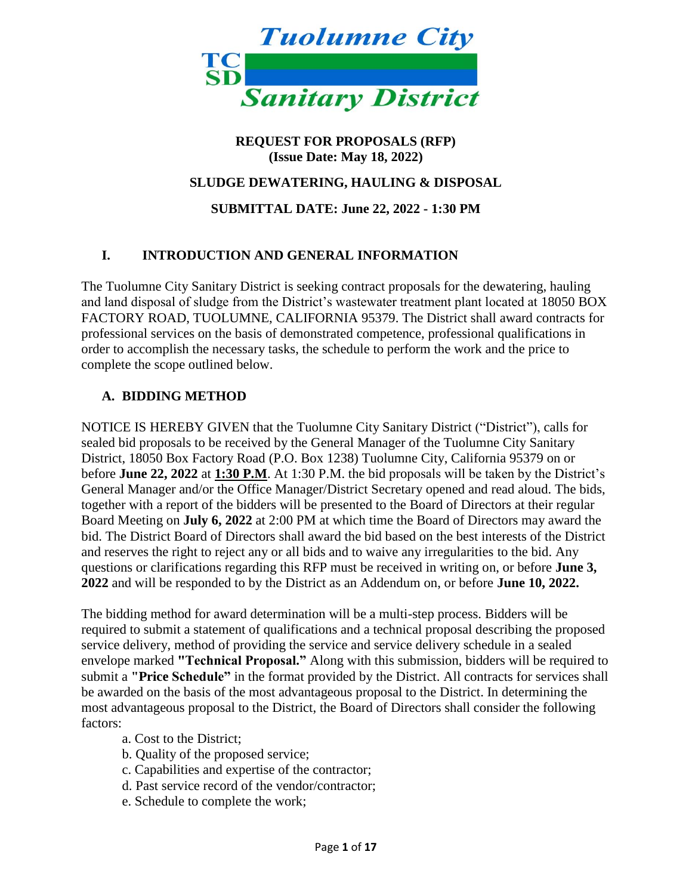

## **REQUEST FOR PROPOSALS (RFP) (Issue Date: May 18, 2022)**

#### **SLUDGE DEWATERING, HAULING & DISPOSAL**

**SUBMITTAL DATE: June 22, 2022 - 1:30 PM**

## **I. INTRODUCTION AND GENERAL INFORMATION**

The Tuolumne City Sanitary District is seeking contract proposals for the dewatering, hauling and land disposal of sludge from the District's wastewater treatment plant located at 18050 BOX FACTORY ROAD, TUOLUMNE, CALIFORNIA 95379. The District shall award contracts for professional services on the basis of demonstrated competence, professional qualifications in order to accomplish the necessary tasks, the schedule to perform the work and the price to complete the scope outlined below.

#### **A. BIDDING METHOD**

NOTICE IS HEREBY GIVEN that the Tuolumne City Sanitary District ("District"), calls for sealed bid proposals to be received by the General Manager of the Tuolumne City Sanitary District, 18050 Box Factory Road (P.O. Box 1238) Tuolumne City, California 95379 on or before **June 22, 2022** at **1:30 P.M**. At 1:30 P.M. the bid proposals will be taken by the District's General Manager and/or the Office Manager/District Secretary opened and read aloud. The bids, together with a report of the bidders will be presented to the Board of Directors at their regular Board Meeting on **July 6, 2022** at 2:00 PM at which time the Board of Directors may award the bid. The District Board of Directors shall award the bid based on the best interests of the District and reserves the right to reject any or all bids and to waive any irregularities to the bid. Any questions or clarifications regarding this RFP must be received in writing on, or before **June 3, 2022** and will be responded to by the District as an Addendum on, or before **June 10, 2022.**

The bidding method for award determination will be a multi-step process. Bidders will be required to submit a statement of qualifications and a technical proposal describing the proposed service delivery, method of providing the service and service delivery schedule in a sealed envelope marked **"Technical Proposal."** Along with this submission, bidders will be required to submit a **"Price Schedule"** in the format provided by the District. All contracts for services shall be awarded on the basis of the most advantageous proposal to the District. In determining the most advantageous proposal to the District, the Board of Directors shall consider the following factors:

- a. Cost to the District;
- b. Quality of the proposed service;
- c. Capabilities and expertise of the contractor;
- d. Past service record of the vendor/contractor;
- e. Schedule to complete the work;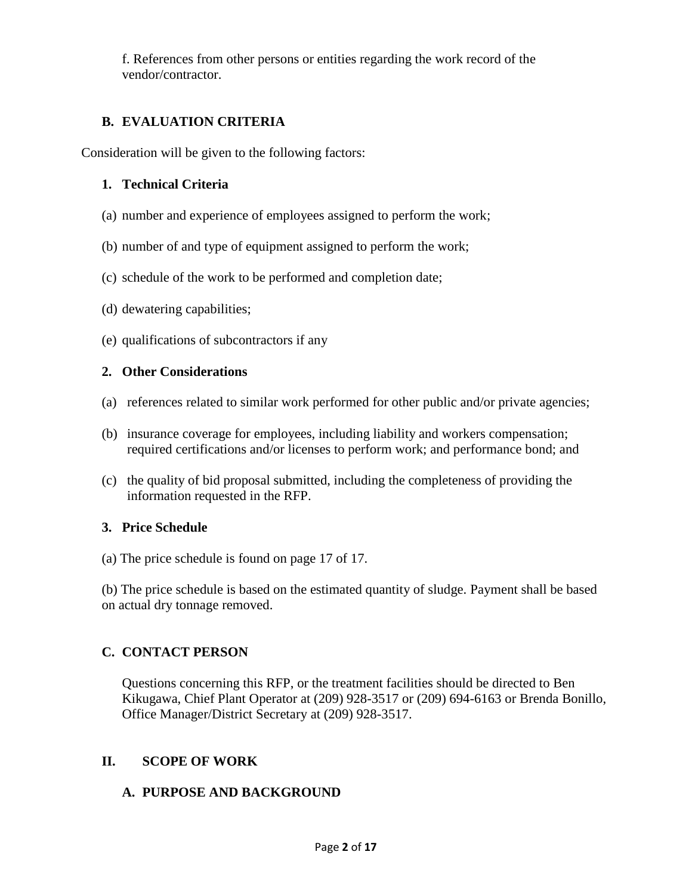f. References from other persons or entities regarding the work record of the vendor/contractor.

# **B. EVALUATION CRITERIA**

Consideration will be given to the following factors:

#### **1. Technical Criteria**

- (a) number and experience of employees assigned to perform the work;
- (b) number of and type of equipment assigned to perform the work;
- (c) schedule of the work to be performed and completion date;
- (d) dewatering capabilities;
- (e) qualifications of subcontractors if any

#### **2. Other Considerations**

- (a) references related to similar work performed for other public and/or private agencies;
- (b) insurance coverage for employees, including liability and workers compensation; required certifications and/or licenses to perform work; and performance bond; and
- (c) the quality of bid proposal submitted, including the completeness of providing the information requested in the RFP.

## **3. Price Schedule**

(a) The price schedule is found on page 17 of 17.

(b) The price schedule is based on the estimated quantity of sludge. Payment shall be based on actual dry tonnage removed.

## **C. CONTACT PERSON**

Questions concerning this RFP, or the treatment facilities should be directed to Ben Kikugawa, Chief Plant Operator at (209) 928-3517 or (209) 694-6163 or Brenda Bonillo, Office Manager/District Secretary at (209) 928-3517.

## **II. SCOPE OF WORK**

## **A. PURPOSE AND BACKGROUND**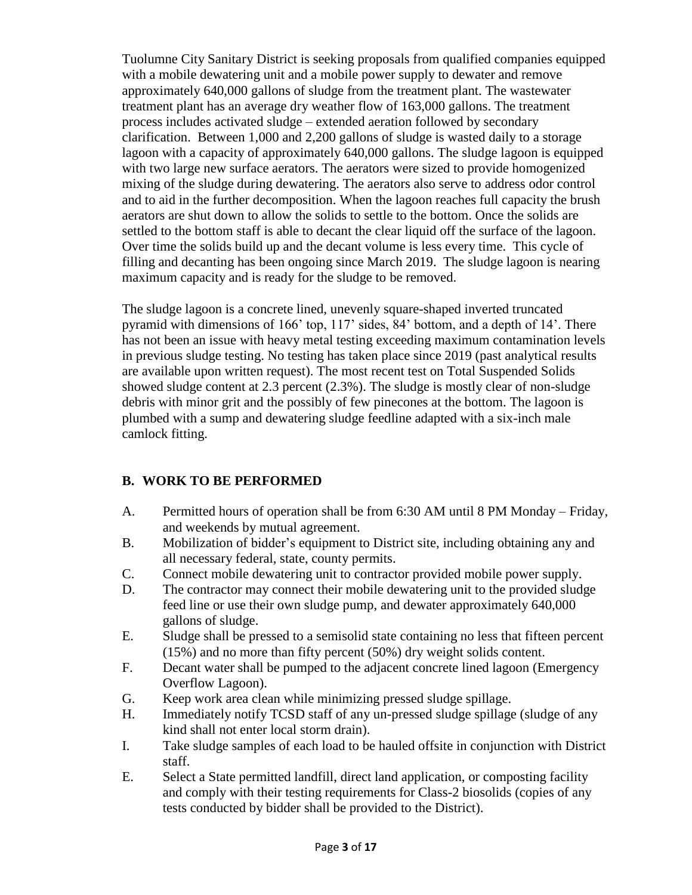Tuolumne City Sanitary District is seeking proposals from qualified companies equipped with a mobile dewatering unit and a mobile power supply to dewater and remove approximately 640,000 gallons of sludge from the treatment plant. The wastewater treatment plant has an average dry weather flow of 163,000 gallons. The treatment process includes activated sludge – extended aeration followed by secondary clarification. Between 1,000 and 2,200 gallons of sludge is wasted daily to a storage lagoon with a capacity of approximately 640,000 gallons. The sludge lagoon is equipped with two large new surface aerators. The aerators were sized to provide homogenized mixing of the sludge during dewatering. The aerators also serve to address odor control and to aid in the further decomposition. When the lagoon reaches full capacity the brush aerators are shut down to allow the solids to settle to the bottom. Once the solids are settled to the bottom staff is able to decant the clear liquid off the surface of the lagoon. Over time the solids build up and the decant volume is less every time. This cycle of filling and decanting has been ongoing since March 2019. The sludge lagoon is nearing maximum capacity and is ready for the sludge to be removed.

The sludge lagoon is a concrete lined, unevenly square-shaped inverted truncated pyramid with dimensions of 166' top, 117' sides, 84' bottom, and a depth of 14'. There has not been an issue with heavy metal testing exceeding maximum contamination levels in previous sludge testing. No testing has taken place since 2019 (past analytical results are available upon written request). The most recent test on Total Suspended Solids showed sludge content at 2.3 percent (2.3%). The sludge is mostly clear of non-sludge debris with minor grit and the possibly of few pinecones at the bottom. The lagoon is plumbed with a sump and dewatering sludge feedline adapted with a six-inch male camlock fitting.

## **B. WORK TO BE PERFORMED**

- A. Permitted hours of operation shall be from 6:30 AM until 8 PM Monday Friday, and weekends by mutual agreement.
- B. Mobilization of bidder's equipment to District site, including obtaining any and all necessary federal, state, county permits.
- C. Connect mobile dewatering unit to contractor provided mobile power supply.
- D. The contractor may connect their mobile dewatering unit to the provided sludge feed line or use their own sludge pump, and dewater approximately 640,000 gallons of sludge.
- E. Sludge shall be pressed to a semisolid state containing no less that fifteen percent (15%) and no more than fifty percent (50%) dry weight solids content.
- F. Decant water shall be pumped to the adjacent concrete lined lagoon (Emergency Overflow Lagoon).
- G. Keep work area clean while minimizing pressed sludge spillage.
- H. Immediately notify TCSD staff of any un-pressed sludge spillage (sludge of any kind shall not enter local storm drain).
- I. Take sludge samples of each load to be hauled offsite in conjunction with District staff.
- E. Select a State permitted landfill, direct land application, or composting facility and comply with their testing requirements for Class-2 biosolids (copies of any tests conducted by bidder shall be provided to the District).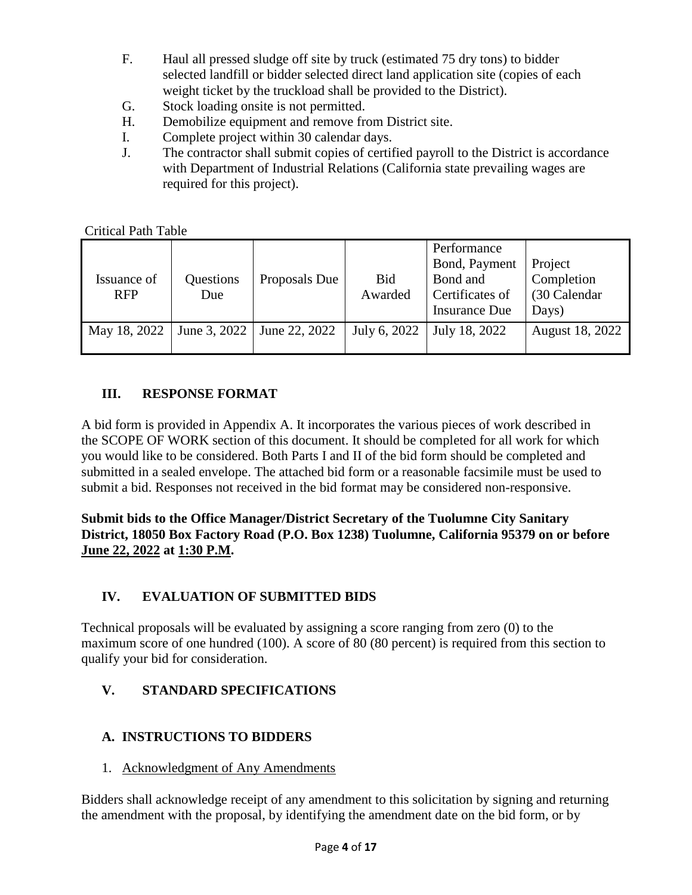- F. Haul all pressed sludge off site by truck (estimated 75 dry tons) to bidder selected landfill or bidder selected direct land application site (copies of each weight ticket by the truckload shall be provided to the District).
- G. Stock loading onsite is not permitted.
- H. Demobilize equipment and remove from District site.
- I. Complete project within 30 calendar days.
- J. The contractor shall submit copies of certified payroll to the District is accordance with Department of Industrial Relations (California state prevailing wages are required for this project).

Critical Path Table

| Issuance of<br><b>RFP</b> | Questions<br>Due | Proposals Due | <b>Bid</b><br>Awarded | Performance<br>Bond, Payment<br>Bond and<br>Certificates of<br><b>Insurance Due</b> | Project<br>Completion<br>(30 Calendar<br>Days) |
|---------------------------|------------------|---------------|-----------------------|-------------------------------------------------------------------------------------|------------------------------------------------|
| May 18, 2022              | June 3, 2022     | June 22, 2022 | July 6, 2022          | July 18, 2022                                                                       | August 18, 2022                                |

# **III. RESPONSE FORMAT**

A bid form is provided in Appendix A. It incorporates the various pieces of work described in the SCOPE OF WORK section of this document. It should be completed for all work for which you would like to be considered. Both Parts I and II of the bid form should be completed and submitted in a sealed envelope. The attached bid form or a reasonable facsimile must be used to submit a bid. Responses not received in the bid format may be considered non-responsive.

**Submit bids to the Office Manager/District Secretary of the Tuolumne City Sanitary District, 18050 Box Factory Road (P.O. Box 1238) Tuolumne, California 95379 on or before June 22, 2022 at 1:30 P.M.**

# **IV. EVALUATION OF SUBMITTED BIDS**

Technical proposals will be evaluated by assigning a score ranging from zero (0) to the maximum score of one hundred (100). A score of 80 (80 percent) is required from this section to qualify your bid for consideration.

# **V. STANDARD SPECIFICATIONS**

# **A. INSTRUCTIONS TO BIDDERS**

1. Acknowledgment of Any Amendments

Bidders shall acknowledge receipt of any amendment to this solicitation by signing and returning the amendment with the proposal, by identifying the amendment date on the bid form, or by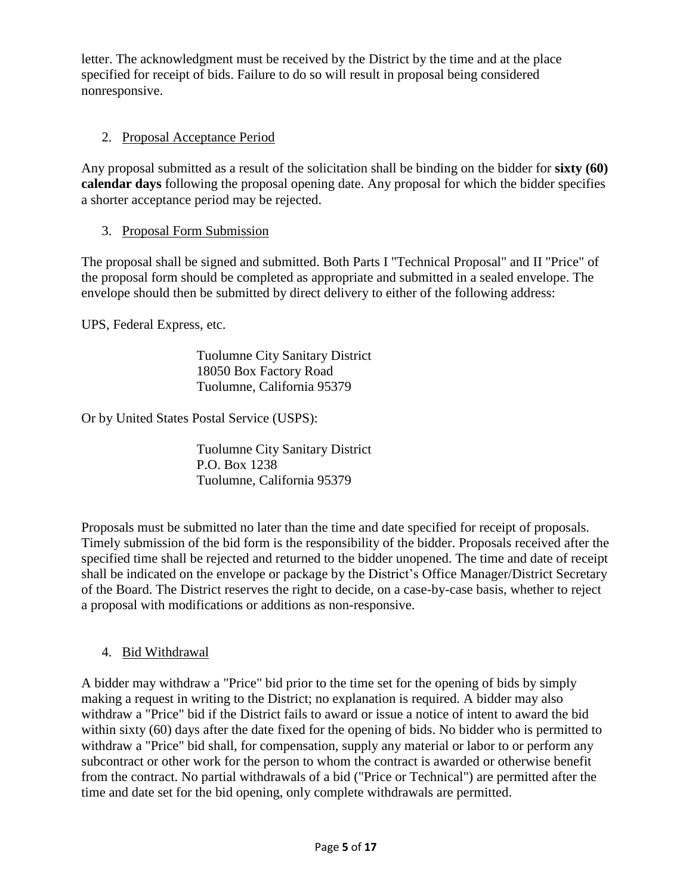letter. The acknowledgment must be received by the District by the time and at the place specified for receipt of bids. Failure to do so will result in proposal being considered nonresponsive.

# 2. Proposal Acceptance Period

Any proposal submitted as a result of the solicitation shall be binding on the bidder for **sixty (60) calendar days** following the proposal opening date. Any proposal for which the bidder specifies a shorter acceptance period may be rejected.

# 3. Proposal Form Submission

The proposal shall be signed and submitted. Both Parts I "Technical Proposal" and II "Price" of the proposal form should be completed as appropriate and submitted in a sealed envelope. The envelope should then be submitted by direct delivery to either of the following address:

UPS, Federal Express, etc.

 Tuolumne City Sanitary District 18050 Box Factory Road Tuolumne, California 95379

Or by United States Postal Service (USPS):

 Tuolumne City Sanitary District P.O. Box 1238 Tuolumne, California 95379

Proposals must be submitted no later than the time and date specified for receipt of proposals. Timely submission of the bid form is the responsibility of the bidder. Proposals received after the specified time shall be rejected and returned to the bidder unopened. The time and date of receipt shall be indicated on the envelope or package by the District's Office Manager/District Secretary of the Board. The District reserves the right to decide, on a case-by-case basis, whether to reject a proposal with modifications or additions as non-responsive.

## 4. Bid Withdrawal

A bidder may withdraw a "Price" bid prior to the time set for the opening of bids by simply making a request in writing to the District; no explanation is required. A bidder may also withdraw a "Price" bid if the District fails to award or issue a notice of intent to award the bid within sixty (60) days after the date fixed for the opening of bids. No bidder who is permitted to withdraw a "Price" bid shall, for compensation, supply any material or labor to or perform any subcontract or other work for the person to whom the contract is awarded or otherwise benefit from the contract. No partial withdrawals of a bid ("Price or Technical") are permitted after the time and date set for the bid opening, only complete withdrawals are permitted.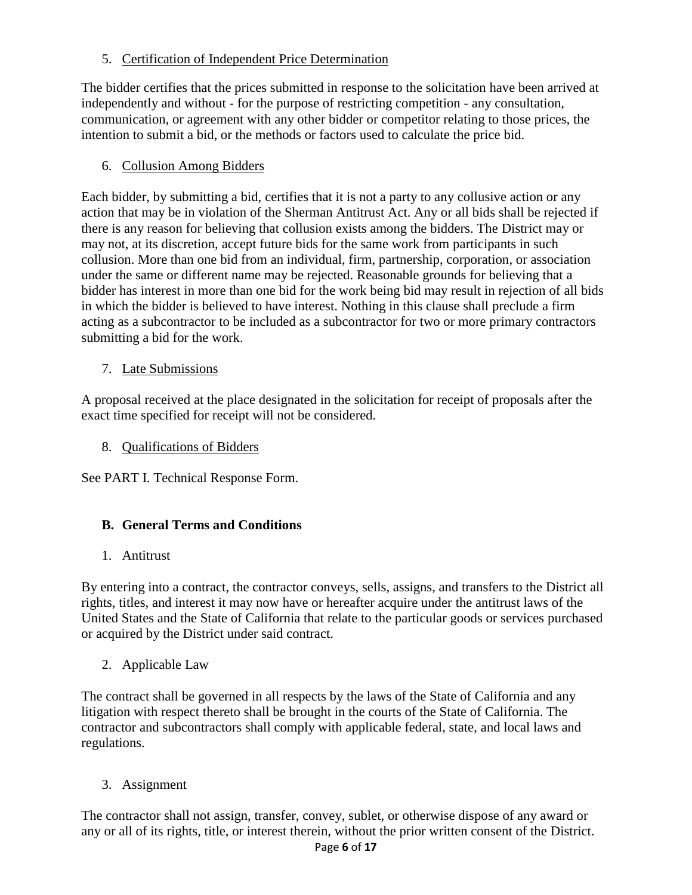5. Certification of Independent Price Determination

The bidder certifies that the prices submitted in response to the solicitation have been arrived at independently and without - for the purpose of restricting competition - any consultation, communication, or agreement with any other bidder or competitor relating to those prices, the intention to submit a bid, or the methods or factors used to calculate the price bid.

# 6. Collusion Among Bidders

Each bidder, by submitting a bid, certifies that it is not a party to any collusive action or any action that may be in violation of the Sherman Antitrust Act. Any or all bids shall be rejected if there is any reason for believing that collusion exists among the bidders. The District may or may not, at its discretion, accept future bids for the same work from participants in such collusion. More than one bid from an individual, firm, partnership, corporation, or association under the same or different name may be rejected. Reasonable grounds for believing that a bidder has interest in more than one bid for the work being bid may result in rejection of all bids in which the bidder is believed to have interest. Nothing in this clause shall preclude a firm acting as a subcontractor to be included as a subcontractor for two or more primary contractors submitting a bid for the work.

## 7. Late Submissions

A proposal received at the place designated in the solicitation for receipt of proposals after the exact time specified for receipt will not be considered.

8. Qualifications of Bidders

See PART I. Technical Response Form.

## **B. General Terms and Conditions**

## 1. Antitrust

By entering into a contract, the contractor conveys, sells, assigns, and transfers to the District all rights, titles, and interest it may now have or hereafter acquire under the antitrust laws of the United States and the State of California that relate to the particular goods or services purchased or acquired by the District under said contract.

2. Applicable Law

The contract shall be governed in all respects by the laws of the State of California and any litigation with respect thereto shall be brought in the courts of the State of California. The contractor and subcontractors shall comply with applicable federal, state, and local laws and regulations.

3. Assignment

The contractor shall not assign, transfer, convey, sublet, or otherwise dispose of any award or any or all of its rights, title, or interest therein, without the prior written consent of the District.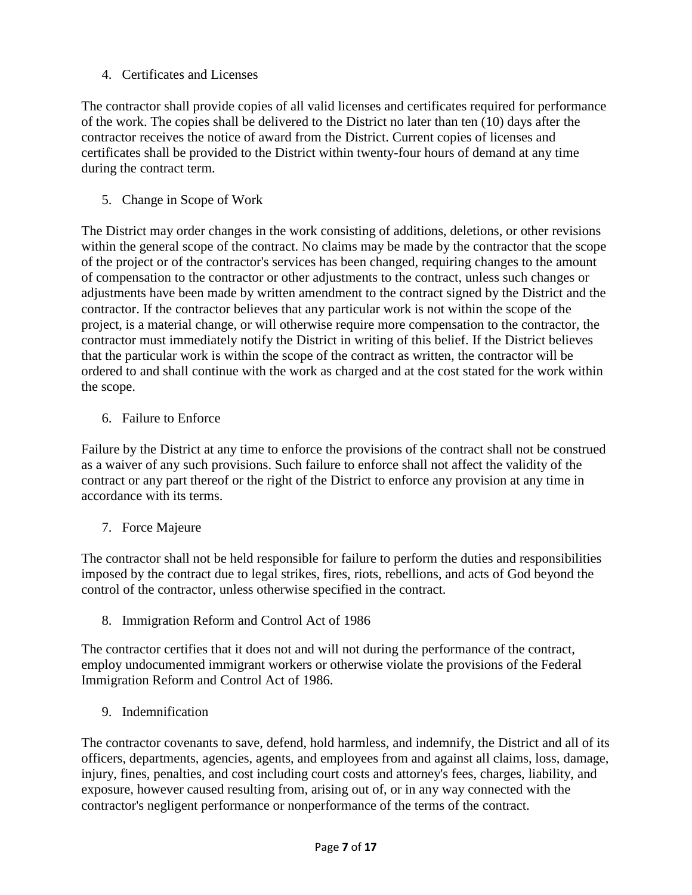# 4. Certificates and Licenses

The contractor shall provide copies of all valid licenses and certificates required for performance of the work. The copies shall be delivered to the District no later than ten (10) days after the contractor receives the notice of award from the District. Current copies of licenses and certificates shall be provided to the District within twenty-four hours of demand at any time during the contract term.

5. Change in Scope of Work

The District may order changes in the work consisting of additions, deletions, or other revisions within the general scope of the contract. No claims may be made by the contractor that the scope of the project or of the contractor's services has been changed, requiring changes to the amount of compensation to the contractor or other adjustments to the contract, unless such changes or adjustments have been made by written amendment to the contract signed by the District and the contractor. If the contractor believes that any particular work is not within the scope of the project, is a material change, or will otherwise require more compensation to the contractor, the contractor must immediately notify the District in writing of this belief. If the District believes that the particular work is within the scope of the contract as written, the contractor will be ordered to and shall continue with the work as charged and at the cost stated for the work within the scope.

6. Failure to Enforce

Failure by the District at any time to enforce the provisions of the contract shall not be construed as a waiver of any such provisions. Such failure to enforce shall not affect the validity of the contract or any part thereof or the right of the District to enforce any provision at any time in accordance with its terms.

7. Force Majeure

The contractor shall not be held responsible for failure to perform the duties and responsibilities imposed by the contract due to legal strikes, fires, riots, rebellions, and acts of God beyond the control of the contractor, unless otherwise specified in the contract.

8. Immigration Reform and Control Act of 1986

The contractor certifies that it does not and will not during the performance of the contract, employ undocumented immigrant workers or otherwise violate the provisions of the Federal Immigration Reform and Control Act of 1986.

9. Indemnification

The contractor covenants to save, defend, hold harmless, and indemnify, the District and all of its officers, departments, agencies, agents, and employees from and against all claims, loss, damage, injury, fines, penalties, and cost including court costs and attorney's fees, charges, liability, and exposure, however caused resulting from, arising out of, or in any way connected with the contractor's negligent performance or nonperformance of the terms of the contract.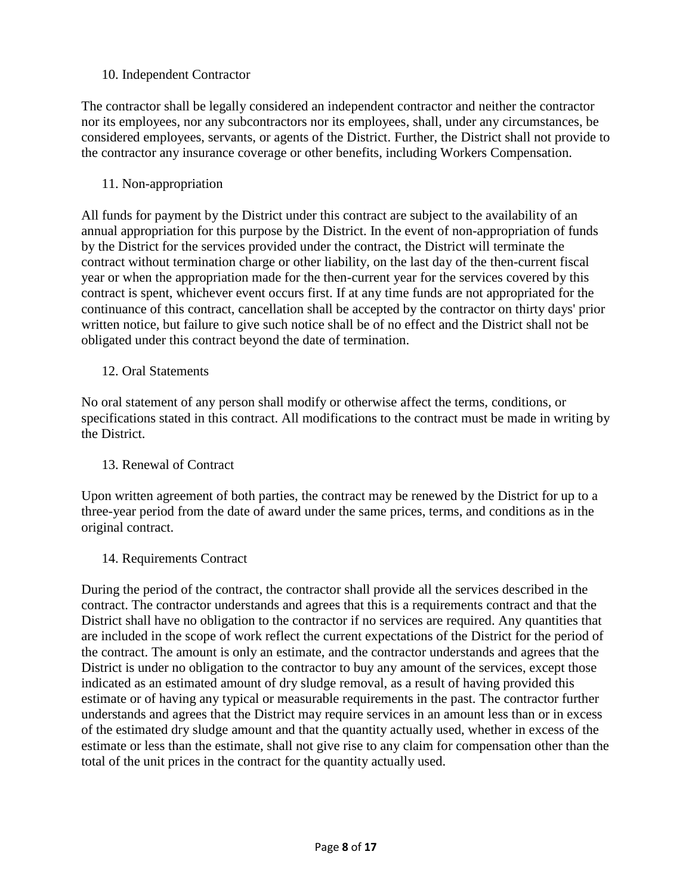### 10. Independent Contractor

The contractor shall be legally considered an independent contractor and neither the contractor nor its employees, nor any subcontractors nor its employees, shall, under any circumstances, be considered employees, servants, or agents of the District. Further, the District shall not provide to the contractor any insurance coverage or other benefits, including Workers Compensation.

11. Non-appropriation

All funds for payment by the District under this contract are subject to the availability of an annual appropriation for this purpose by the District. In the event of non-appropriation of funds by the District for the services provided under the contract, the District will terminate the contract without termination charge or other liability, on the last day of the then-current fiscal year or when the appropriation made for the then-current year for the services covered by this contract is spent, whichever event occurs first. If at any time funds are not appropriated for the continuance of this contract, cancellation shall be accepted by the contractor on thirty days' prior written notice, but failure to give such notice shall be of no effect and the District shall not be obligated under this contract beyond the date of termination.

#### 12. Oral Statements

No oral statement of any person shall modify or otherwise affect the terms, conditions, or specifications stated in this contract. All modifications to the contract must be made in writing by the District.

#### 13. Renewal of Contract

Upon written agreement of both parties, the contract may be renewed by the District for up to a three-year period from the date of award under the same prices, terms, and conditions as in the original contract.

14. Requirements Contract

During the period of the contract, the contractor shall provide all the services described in the contract. The contractor understands and agrees that this is a requirements contract and that the District shall have no obligation to the contractor if no services are required. Any quantities that are included in the scope of work reflect the current expectations of the District for the period of the contract. The amount is only an estimate, and the contractor understands and agrees that the District is under no obligation to the contractor to buy any amount of the services, except those indicated as an estimated amount of dry sludge removal, as a result of having provided this estimate or of having any typical or measurable requirements in the past. The contractor further understands and agrees that the District may require services in an amount less than or in excess of the estimated dry sludge amount and that the quantity actually used, whether in excess of the estimate or less than the estimate, shall not give rise to any claim for compensation other than the total of the unit prices in the contract for the quantity actually used.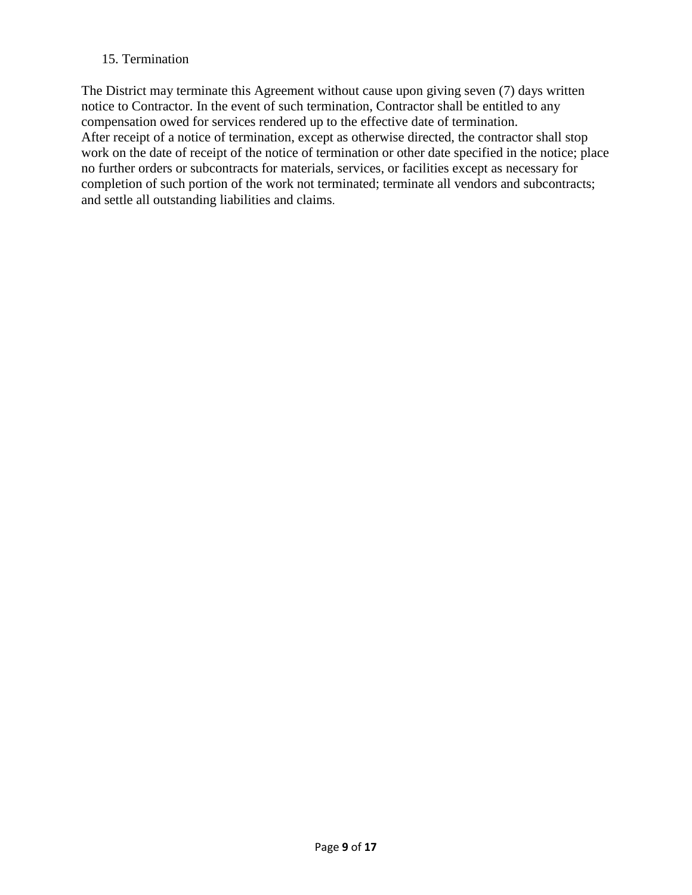## 15. Termination

The District may terminate this Agreement without cause upon giving seven (7) days written notice to Contractor. In the event of such termination, Contractor shall be entitled to any compensation owed for services rendered up to the effective date of termination. After receipt of a notice of termination, except as otherwise directed, the contractor shall stop work on the date of receipt of the notice of termination or other date specified in the notice; place no further orders or subcontracts for materials, services, or facilities except as necessary for completion of such portion of the work not terminated; terminate all vendors and subcontracts; and settle all outstanding liabilities and claims.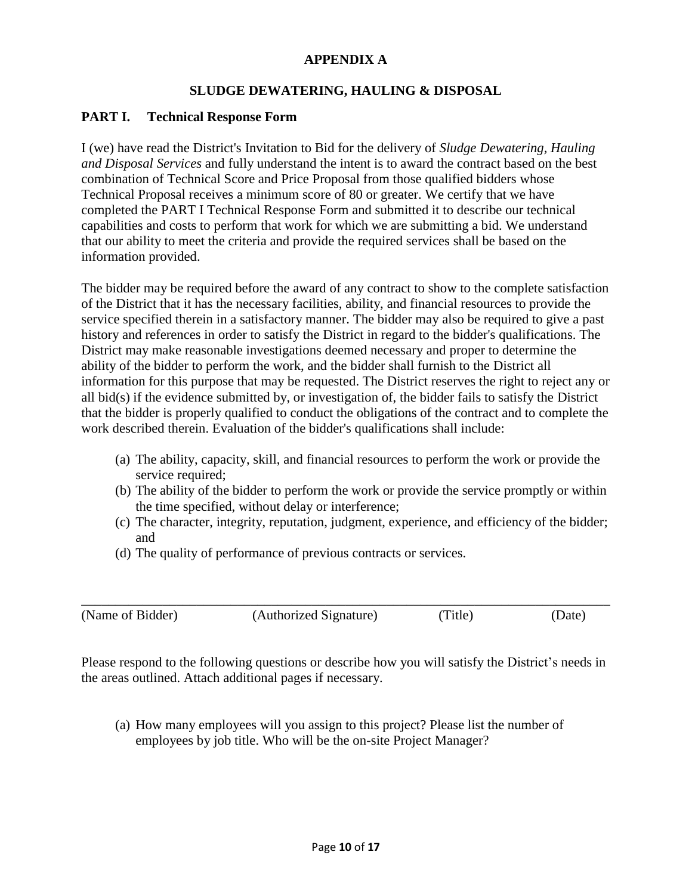## **APPENDIX A**

## **SLUDGE DEWATERING, HAULING & DISPOSAL**

## **PART I. Technical Response Form**

I (we) have read the District's Invitation to Bid for the delivery of *Sludge Dewatering, Hauling and Disposal Services* and fully understand the intent is to award the contract based on the best combination of Technical Score and Price Proposal from those qualified bidders whose Technical Proposal receives a minimum score of 80 or greater. We certify that we have completed the PART I Technical Response Form and submitted it to describe our technical capabilities and costs to perform that work for which we are submitting a bid. We understand that our ability to meet the criteria and provide the required services shall be based on the information provided.

The bidder may be required before the award of any contract to show to the complete satisfaction of the District that it has the necessary facilities, ability, and financial resources to provide the service specified therein in a satisfactory manner. The bidder may also be required to give a past history and references in order to satisfy the District in regard to the bidder's qualifications. The District may make reasonable investigations deemed necessary and proper to determine the ability of the bidder to perform the work, and the bidder shall furnish to the District all information for this purpose that may be requested. The District reserves the right to reject any or all bid(s) if the evidence submitted by, or investigation of, the bidder fails to satisfy the District that the bidder is properly qualified to conduct the obligations of the contract and to complete the work described therein. Evaluation of the bidder's qualifications shall include:

- (a) The ability, capacity, skill, and financial resources to perform the work or provide the service required;
- (b) The ability of the bidder to perform the work or provide the service promptly or within the time specified, without delay or interference;
- (c) The character, integrity, reputation, judgment, experience, and efficiency of the bidder; and
- (d) The quality of performance of previous contracts or services.

| (Name of Bidder) | (Authorized Signature) | (Title) | (Date) |
|------------------|------------------------|---------|--------|

Please respond to the following questions or describe how you will satisfy the District's needs in the areas outlined. Attach additional pages if necessary.

(a) How many employees will you assign to this project? Please list the number of employees by job title. Who will be the on-site Project Manager?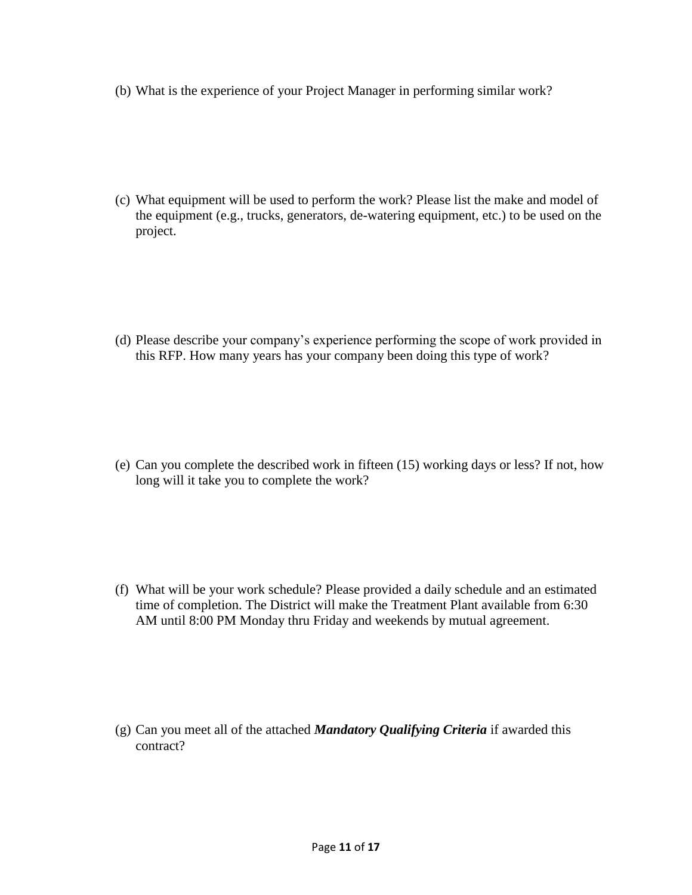(b) What is the experience of your Project Manager in performing similar work?

(c) What equipment will be used to perform the work? Please list the make and model of the equipment (e.g., trucks, generators, de-watering equipment, etc.) to be used on the project.

(d) Please describe your company's experience performing the scope of work provided in this RFP. How many years has your company been doing this type of work?

(e) Can you complete the described work in fifteen (15) working days or less? If not, how long will it take you to complete the work?

(f) What will be your work schedule? Please provided a daily schedule and an estimated time of completion. The District will make the Treatment Plant available from 6:30 AM until 8:00 PM Monday thru Friday and weekends by mutual agreement.

(g) Can you meet all of the attached *Mandatory Qualifying Criteria* if awarded this contract?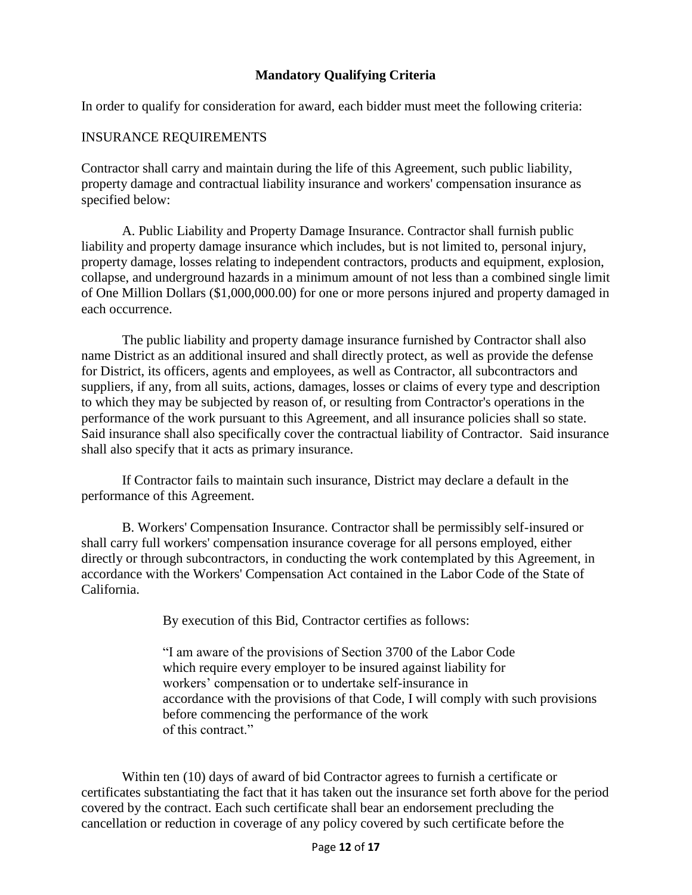## **Mandatory Qualifying Criteria**

In order to qualify for consideration for award, each bidder must meet the following criteria:

#### INSURANCE REQUIREMENTS

Contractor shall carry and maintain during the life of this Agreement, such public liability, property damage and contractual liability insurance and workers' compensation insurance as specified below:

A. Public Liability and Property Damage Insurance. Contractor shall furnish public liability and property damage insurance which includes, but is not limited to, personal injury, property damage, losses relating to independent contractors, products and equipment, explosion, collapse, and underground hazards in a minimum amount of not less than a combined single limit of One Million Dollars (\$1,000,000.00) for one or more persons injured and property damaged in each occurrence.

The public liability and property damage insurance furnished by Contractor shall also name District as an additional insured and shall directly protect, as well as provide the defense for District, its officers, agents and employees, as well as Contractor, all subcontractors and suppliers, if any, from all suits, actions, damages, losses or claims of every type and description to which they may be subjected by reason of, or resulting from Contractor's operations in the performance of the work pursuant to this Agreement, and all insurance policies shall so state. Said insurance shall also specifically cover the contractual liability of Contractor. Said insurance shall also specify that it acts as primary insurance.

If Contractor fails to maintain such insurance, District may declare a default in the performance of this Agreement.

B. Workers' Compensation Insurance. Contractor shall be permissibly self-insured or shall carry full workers' compensation insurance coverage for all persons employed, either directly or through subcontractors, in conducting the work contemplated by this Agreement, in accordance with the Workers' Compensation Act contained in the Labor Code of the State of California.

By execution of this Bid, Contractor certifies as follows:

"I am aware of the provisions of Section 3700 of the Labor Code which require every employer to be insured against liability for workers' compensation or to undertake self-insurance in accordance with the provisions of that Code, I will comply with such provisions before commencing the performance of the work of this contract."

Within ten (10) days of award of bid Contractor agrees to furnish a certificate or certificates substantiating the fact that it has taken out the insurance set forth above for the period covered by the contract. Each such certificate shall bear an endorsement precluding the cancellation or reduction in coverage of any policy covered by such certificate before the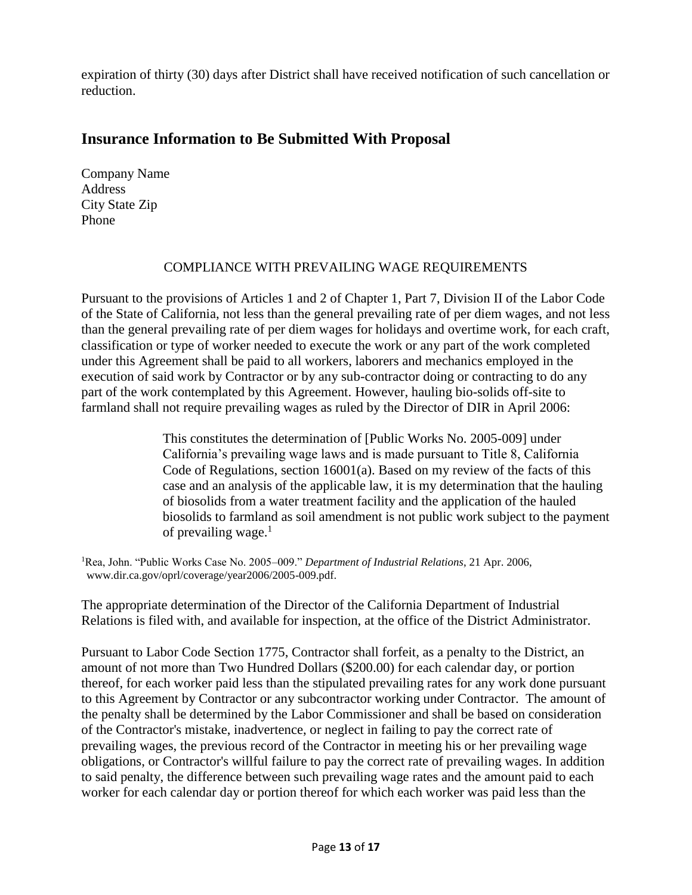expiration of thirty (30) days after District shall have received notification of such cancellation or reduction.

# **Insurance Information to Be Submitted With Proposal**

Company Name Address City State Zip Phone

#### COMPLIANCE WITH PREVAILING WAGE REQUIREMENTS

Pursuant to the provisions of Articles 1 and 2 of Chapter 1, Part 7, Division II of the Labor Code of the State of California, not less than the general prevailing rate of per diem wages, and not less than the general prevailing rate of per diem wages for holidays and overtime work, for each craft, classification or type of worker needed to execute the work or any part of the work completed under this Agreement shall be paid to all workers, laborers and mechanics employed in the execution of said work by Contractor or by any sub-contractor doing or contracting to do any part of the work contemplated by this Agreement. However, hauling bio-solids off-site to farmland shall not require prevailing wages as ruled by the Director of DIR in April 2006:

> This constitutes the determination of [Public Works No. 2005-009] under California's prevailing wage laws and is made pursuant to Title 8, California Code of Regulations, section 16001(a). Based on my review of the facts of this case and an analysis of the applicable law, it is my determination that the hauling of biosolids from a water treatment facility and the application of the hauled biosolids to farmland as soil amendment is not public work subject to the payment of prevailing wage. $<sup>1</sup>$ </sup>

<sup>1</sup>Rea, John. "Public Works Case No. 2005–009." *Department of Industrial Relations*, 21 Apr. 2006, www.dir.ca.gov/oprl/coverage/year2006/2005-009.pdf.

The appropriate determination of the Director of the California Department of Industrial Relations is filed with, and available for inspection, at the office of the District Administrator.

Pursuant to Labor Code Section 1775, Contractor shall forfeit, as a penalty to the District, an amount of not more than Two Hundred Dollars (\$200.00) for each calendar day, or portion thereof, for each worker paid less than the stipulated prevailing rates for any work done pursuant to this Agreement by Contractor or any subcontractor working under Contractor. The amount of the penalty shall be determined by the Labor Commissioner and shall be based on consideration of the Contractor's mistake, inadvertence, or neglect in failing to pay the correct rate of prevailing wages, the previous record of the Contractor in meeting his or her prevailing wage obligations, or Contractor's willful failure to pay the correct rate of prevailing wages. In addition to said penalty, the difference between such prevailing wage rates and the amount paid to each worker for each calendar day or portion thereof for which each worker was paid less than the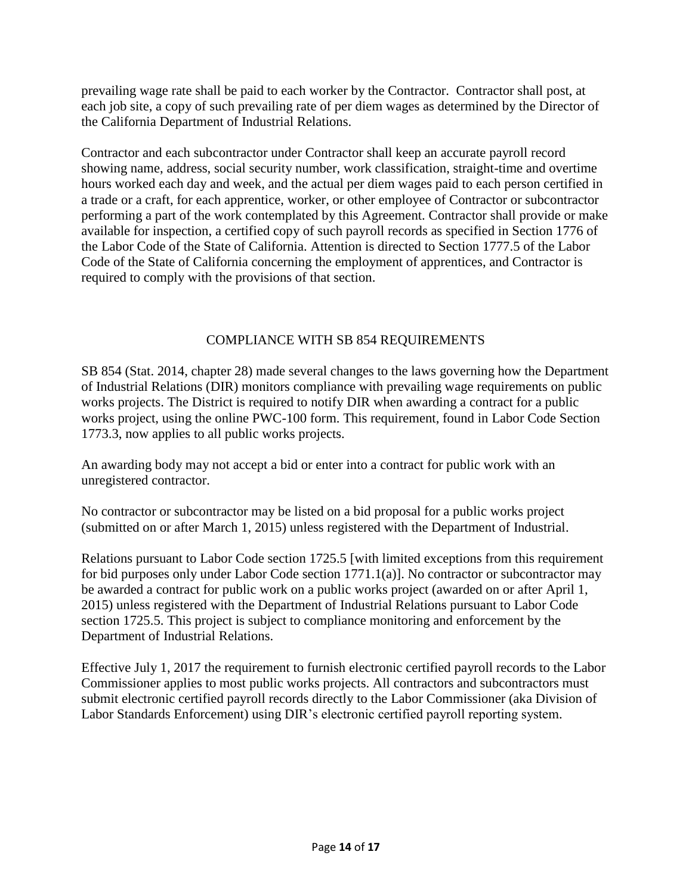prevailing wage rate shall be paid to each worker by the Contractor. Contractor shall post, at each job site, a copy of such prevailing rate of per diem wages as determined by the Director of the California Department of Industrial Relations.

Contractor and each subcontractor under Contractor shall keep an accurate payroll record showing name, address, social security number, work classification, straight-time and overtime hours worked each day and week, and the actual per diem wages paid to each person certified in a trade or a craft, for each apprentice, worker, or other employee of Contractor or subcontractor performing a part of the work contemplated by this Agreement. Contractor shall provide or make available for inspection, a certified copy of such payroll records as specified in Section 1776 of the Labor Code of the State of California. Attention is directed to Section 1777.5 of the Labor Code of the State of California concerning the employment of apprentices, and Contractor is required to comply with the provisions of that section.

## COMPLIANCE WITH SB 854 REQUIREMENTS

SB 854 (Stat. 2014, chapter 28) made several changes to the laws governing how the Department of Industrial Relations (DIR) monitors compliance with prevailing wage requirements on public works projects. The District is required to notify DIR when awarding a contract for a public works project, using the online PWC-100 form. This requirement, found in Labor Code Section 1773.3, now applies to all public works projects.

An awarding body may not accept a bid or enter into a contract for public work with an unregistered contractor.

No contractor or subcontractor may be listed on a bid proposal for a public works project (submitted on or after March 1, 2015) unless registered with the Department of Industrial.

Relations pursuant to Labor Code section 1725.5 [with limited exceptions from this requirement for bid purposes only under Labor Code section 1771.1(a)]. No contractor or subcontractor may be awarded a contract for public work on a public works project (awarded on or after April 1, 2015) unless registered with the Department of Industrial Relations pursuant to Labor Code section 1725.5. This project is subject to compliance monitoring and enforcement by the Department of Industrial Relations.

Effective July 1, 2017 the requirement to furnish electronic certified payroll records to the Labor Commissioner applies to most public works projects. All contractors and subcontractors must submit electronic certified payroll records directly to the Labor Commissioner (aka Division of Labor Standards Enforcement) using DIR's electronic certified payroll reporting system.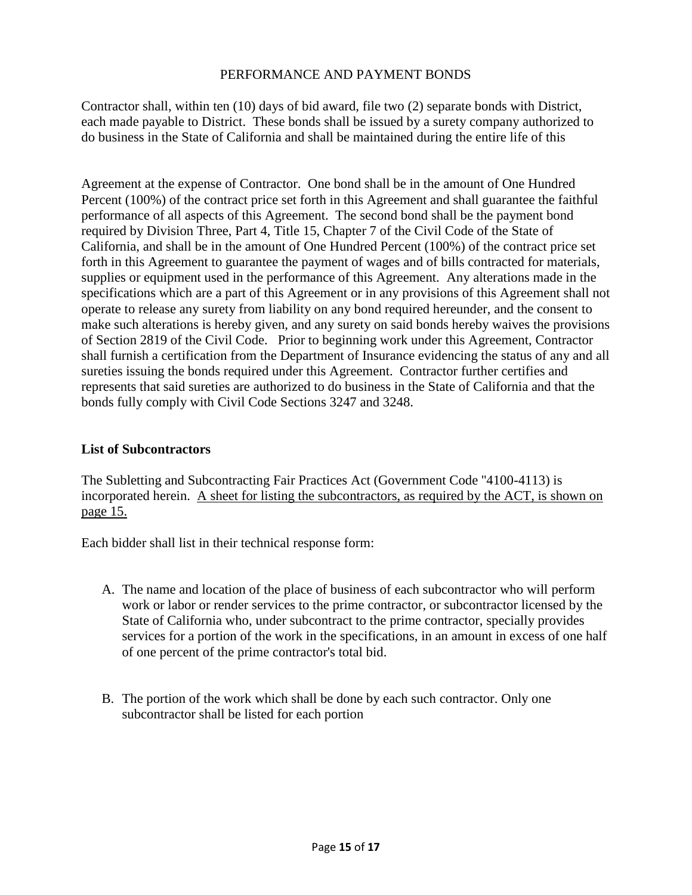#### PERFORMANCE AND PAYMENT BONDS

Contractor shall, within ten (10) days of bid award, file two (2) separate bonds with District, each made payable to District. These bonds shall be issued by a surety company authorized to do business in the State of California and shall be maintained during the entire life of this

Agreement at the expense of Contractor. One bond shall be in the amount of One Hundred Percent (100%) of the contract price set forth in this Agreement and shall guarantee the faithful performance of all aspects of this Agreement. The second bond shall be the payment bond required by Division Three, Part 4, Title 15, Chapter 7 of the Civil Code of the State of California, and shall be in the amount of One Hundred Percent (100%) of the contract price set forth in this Agreement to guarantee the payment of wages and of bills contracted for materials, supplies or equipment used in the performance of this Agreement. Any alterations made in the specifications which are a part of this Agreement or in any provisions of this Agreement shall not operate to release any surety from liability on any bond required hereunder, and the consent to make such alterations is hereby given, and any surety on said bonds hereby waives the provisions of Section 2819 of the Civil Code. Prior to beginning work under this Agreement, Contractor shall furnish a certification from the Department of Insurance evidencing the status of any and all sureties issuing the bonds required under this Agreement. Contractor further certifies and represents that said sureties are authorized to do business in the State of California and that the bonds fully comply with Civil Code Sections 3247 and 3248.

#### **List of Subcontractors**

The Subletting and Subcontracting Fair Practices Act (Government Code ''4100-4113) is incorporated herein. A sheet for listing the subcontractors, as required by the ACT, is shown on page 15.

Each bidder shall list in their technical response form:

- A. The name and location of the place of business of each subcontractor who will perform work or labor or render services to the prime contractor, or subcontractor licensed by the State of California who, under subcontract to the prime contractor, specially provides services for a portion of the work in the specifications, in an amount in excess of one half of one percent of the prime contractor's total bid.
- B. The portion of the work which shall be done by each such contractor. Only one subcontractor shall be listed for each portion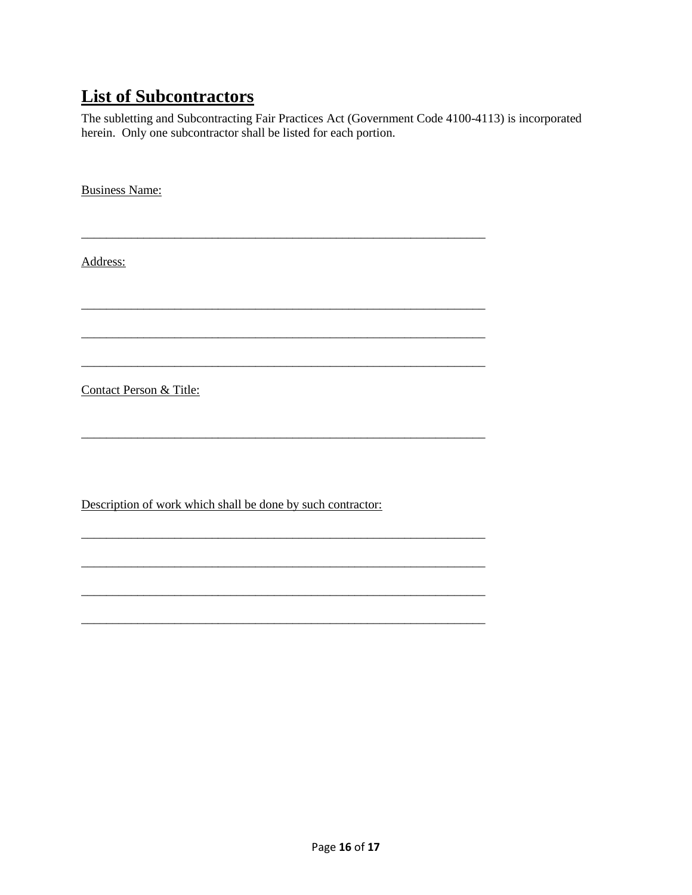# **List of Subcontractors**

The subletting and Subcontracting Fair Practices Act (Government Code 4100-4113) is incorporated herein. Only one subcontractor shall be listed for each portion.

**Business Name:** 

Address:

**Contact Person & Title:** 

Description of work which shall be done by such contractor: